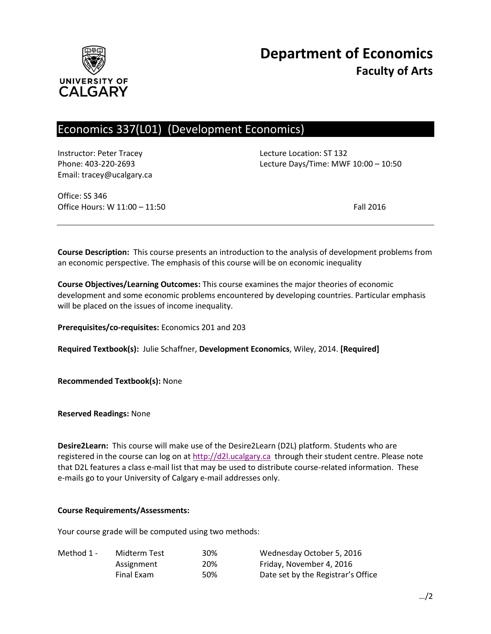

# Economics 337(L01) (Development Economics)

Instructor: Peter Tracey Lecture Location: ST 132 Email: tracey@ucalgary.ca

Phone: 403-220-2693 Lecture Days/Time: MWF 10:00 – 10:50

Office: SS 346 Office Hours: W 11:00 – 11:50 Fall 2016

**Course Description:** This course presents an introduction to the analysis of development problems from an economic perspective. The emphasis of this course will be on economic inequality

**Course Objectives/Learning Outcomes:** This course examines the major theories of economic development and some economic problems encountered by developing countries. Particular emphasis will be placed on the issues of income inequality.

**Prerequisites/co-requisites:** Economics 201 and 203

**Required Textbook(s):** Julie Schaffner, **Development Economics**, Wiley, 2014. **[Required]**

**Recommended Textbook(s):** None

**Reserved Readings:** None

**Desire2Learn:** This course will make use of the Desire2Learn (D2L) platform. Students who are registered in the course can log on at [http://d2l.ucalgary.ca](http://d2l.ucalgary.ca/) through their student centre. Please note that D2L features a class e-mail list that may be used to distribute course-related information. These e-mails go to your University of Calgary e-mail addresses only.

#### **Course Requirements/Assessments:**

Your course grade will be computed using two methods:

| Method 1 - | Midterm Test | 30% | Wednesday October 5, 2016          |
|------------|--------------|-----|------------------------------------|
|            | Assignment   | 20% | Friday, November 4, 2016           |
|            | Final Exam   | 50% | Date set by the Registrar's Office |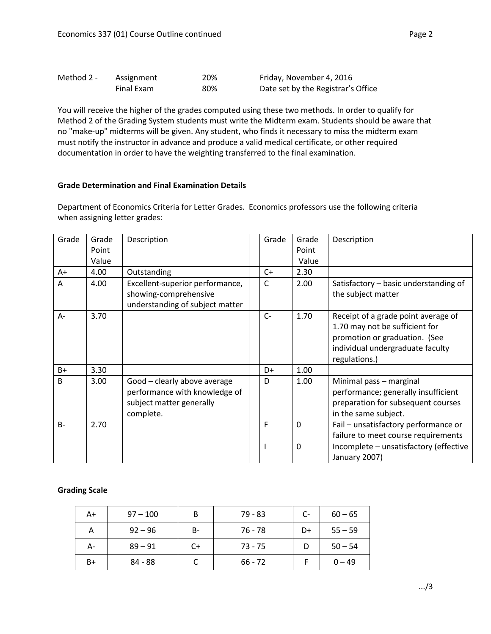| Method 2 - | Assignment | 20% | Friday, November 4, 2016           |
|------------|------------|-----|------------------------------------|
|            | Final Exam | 80% | Date set by the Registrar's Office |

You will receive the higher of the grades computed using these two methods. In order to qualify for Method 2 of the Grading System students must write the Midterm exam. Students should be aware that no "make-up" midterms will be given. Any student, who finds it necessary to miss the midterm exam must notify the instructor in advance and produce a valid medical certificate, or other required documentation in order to have the weighting transferred to the final examination.

## **Grade Determination and Final Examination Details**

Department of Economics Criteria for Letter Grades. Economics professors use the following criteria when assigning letter grades:

| Grade        | Grade | Description                                              | Grade        | Grade       | Description                                                 |
|--------------|-------|----------------------------------------------------------|--------------|-------------|-------------------------------------------------------------|
|              | Point |                                                          |              | Point       |                                                             |
|              | Value |                                                          |              | Value       |                                                             |
| A+           | 4.00  | Outstanding                                              | $C+$         | 2.30        |                                                             |
| A            | 4.00  | Excellent-superior performance,<br>showing-comprehensive | $\mathsf{C}$ | 2.00        | Satisfactory - basic understanding of<br>the subject matter |
|              |       | understanding of subject matter                          |              |             |                                                             |
| A-           | 3.70  |                                                          | $C-$         | 1.70        | Receipt of a grade point average of                         |
|              |       |                                                          |              |             | 1.70 may not be sufficient for                              |
|              |       |                                                          |              |             | promotion or graduation. (See                               |
|              |       |                                                          |              |             | individual undergraduate faculty                            |
|              |       |                                                          |              |             | regulations.)                                               |
| $B+$         | 3.30  |                                                          | D+           | 1.00        |                                                             |
| <sub>B</sub> | 3.00  | Good - clearly above average                             | D            | 1.00        | Minimal pass - marginal                                     |
|              |       | performance with knowledge of                            |              |             | performance; generally insufficient                         |
|              |       | subject matter generally                                 |              |             | preparation for subsequent courses                          |
|              |       | complete.                                                |              |             | in the same subject.                                        |
| $B -$        | 2.70  |                                                          | F            | $\mathbf 0$ | Fail - unsatisfactory performance or                        |
|              |       |                                                          |              |             | failure to meet course requirements                         |
|              |       |                                                          |              | $\Omega$    | Incomplete - unsatisfactory (effective<br>January 2007)     |

## **Grading Scale**

| A+ | $97 - 100$ | B     | $79 - 83$ | $C-$ | $60 - 65$ |
|----|------------|-------|-----------|------|-----------|
| Α  | $92 - 96$  | $B -$ | 76 - 78   | D+   | $55 - 59$ |
| А- | $89 - 91$  | $C+$  | $73 - 75$ |      | $50 - 54$ |
| B+ | 84 - 88    |       | $66 - 72$ |      | $0 - 49$  |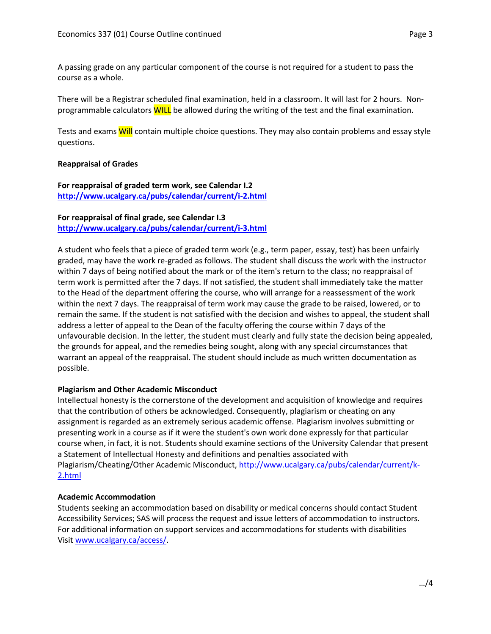A passing grade on any particular component of the course is not required for a student to pass the course as a whole.

There will be a Registrar scheduled final examination, held in a classroom. It will last for 2 hours. Nonprogrammable calculators WILL be allowed during the writing of the test and the final examination.

Tests and exams Will contain multiple choice questions. They may also contain problems and essay style questions.

## **Reappraisal of Grades**

## **For reappraisal of graded term work, see Calendar I.2 <http://www.ucalgary.ca/pubs/calendar/current/i-2.html>**

# **For reappraisal of final grade, see Calendar I.3**

**<http://www.ucalgary.ca/pubs/calendar/current/i-3.html>**

A student who feels that a piece of graded term work (e.g., term paper, essay, test) has been unfairly graded, may have the work re-graded as follows. The student shall discuss the work with the instructor within 7 days of being notified about the mark or of the item's return to the class; no reappraisal of term work is permitted after the 7 days. If not satisfied, the student shall immediately take the matter to the Head of the department offering the course, who will arrange for a reassessment of the work within the next 7 days. The reappraisal of term work may cause the grade to be raised, lowered, or to remain the same. If the student is not satisfied with the decision and wishes to appeal, the student shall address a letter of appeal to the Dean of the faculty offering the course within 7 days of the unfavourable decision. In the letter, the student must clearly and fully state the decision being appealed, the grounds for appeal, and the remedies being sought, along with any special circumstances that warrant an appeal of the reappraisal. The student should include as much written documentation as possible.

## **Plagiarism and Other Academic Misconduct**

Intellectual honesty is the cornerstone of the development and acquisition of knowledge and requires that the contribution of others be acknowledged. Consequently, plagiarism or cheating on any assignment is regarded as an extremely serious academic offense. Plagiarism involves submitting or presenting work in a course as if it were the student's own work done expressly for that particular course when, in fact, it is not. Students should examine sections of the University Calendar that present a Statement of Intellectual Honesty and definitions and penalties associated with Plagiarism/Cheating/Other Academic Misconduct, [http://www.ucalgary.ca/pubs/calendar/current/k-](http://www.ucalgary.ca/pubs/calendar/current/k-2.html)[2.html](http://www.ucalgary.ca/pubs/calendar/current/k-2.html)

## **Academic Accommodation**

Students seeking an accommodation based on disability or medical concerns should contact Student Accessibility Services; SAS will process the request and issue letters of accommodation to instructors. For additional information on support services and accommodations for students with disabilities Visit [www.ucalgary.ca/access/.](http://www.ucalgary.ca/access/)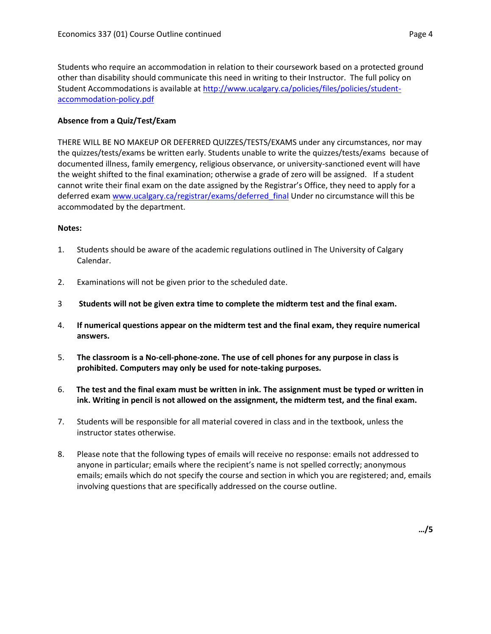Students who require an accommodation in relation to their coursework based on a protected ground other than disability should communicate this need in writing to their Instructor. The full policy on Student Accommodations is available at [http://www.ucalgary.ca/policies/files/policies/student](http://www.ucalgary.ca/policies/files/policies/student-accommodation-policy.pdf)[accommodation-policy.pdf](http://www.ucalgary.ca/policies/files/policies/student-accommodation-policy.pdf)

#### **Absence from a Quiz/Test/Exam**

THERE WILL BE NO MAKEUP OR DEFERRED QUIZZES/TESTS/EXAMS under any circumstances, nor may the quizzes/tests/exams be written early. Students unable to write the quizzes/tests/exams because of documented illness, family emergency, religious observance, or university-sanctioned event will have the weight shifted to the final examination; otherwise a grade of zero will be assigned. If a student cannot write their final exam on the date assigned by the Registrar's Office, they need to apply for a deferred exam [www.ucalgary.ca/registrar/exams/deferred\\_final](http://www.ucalgary.ca/registrar/exams/deferred_final) Under no circumstance will this be accommodated by the department.

#### **Notes:**

- 1. Students should be aware of the academic regulations outlined in The University of Calgary Calendar.
- 2. Examinations will not be given prior to the scheduled date.
- 3 **Students will not be given extra time to complete the midterm test and the final exam.**
- 4. **If numerical questions appear on the midterm test and the final exam, they require numerical answers.**
- 5. **The classroom is a No-cell-phone-zone. The use of cell phones for any purpose in class is prohibited. Computers may only be used for note-taking purposes.**
- 6. **The test and the final exam must be written in ink. The assignment must be typed or written in ink. Writing in pencil is not allowed on the assignment, the midterm test, and the final exam.**
- 7. Students will be responsible for all material covered in class and in the textbook, unless the instructor states otherwise.
- 8. Please note that the following types of emails will receive no response: emails not addressed to anyone in particular; emails where the recipient's name is not spelled correctly; anonymous emails; emails which do not specify the course and section in which you are registered; and, emails involving questions that are specifically addressed on the course outline.